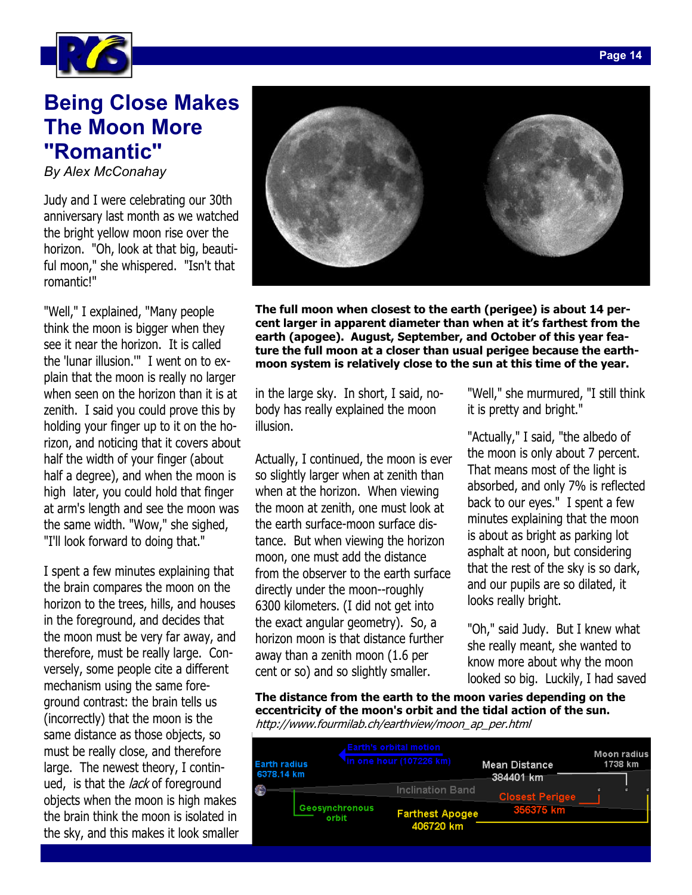

## **Being Close Makes "Romantic"**

**"Romantic"** *By Alex McConahay* 

Judy and I were celebrating our 30th anniversary last month as we watched the bright yellow moon rise over the horizon. "Oh, look at that big, beautiful moon," she whispered. "Isn't that romantic!"

"Well," I explained, "Many people think the moon is bigger when they see it near the horizon. It is called the 'lunar illusion.'" I went on to explain that the moon is really no larger when seen on the horizon than it is at zenith. I said you could prove this by holding your finger up to it on the horizon, and noticing that it covers about half the width of your finger (about half a degree), and when the moon is high later, you could hold that finger at arm's length and see the moon was the same width. "Wow," she sighed, "I'll look forward to doing that."

I spent a few minutes explaining that the brain compares the moon on the horizon to the trees, hills, and houses in the foreground, and decides that the moon must be very far away, and therefore, must be really large. Conversely, some people cite a different mechanism using the same foreground contrast: the brain tells us (incorrectly) that the moon is the same distance as those objects, so must be really close, and therefore large. The newest theory, I continued, is that the *lack* of foreground objects when the moon is high makes the brain think the moon is isolated in the sky, and this makes it look smaller



**The full moon when closest to the earth (perigee) is about 14 percent larger in apparent diameter than when at it's farthest from the earth (apogee). August, September, and October of this year feature the full moon at a closer than usual perigee because the earthmoon system is relatively close to the sun at this time of the year.** 

in the large sky. In short, I said, nobody has really explained the moon illusion.

Actually, I continued, the moon is ever so slightly larger when at zenith than when at the horizon. When viewing the moon at zenith, one must look at the earth surface-moon surface distance. But when viewing the horizon moon, one must add the distance from the observer to the earth surface directly under the moon--roughly 6300 kilometers. (I did not get into the exact angular geometry). So, a horizon moon is that distance further away than a zenith moon (1.6 per cent or so) and so slightly smaller.

"Well," she murmured, "I still think it is pretty and bright."

"Actually," I said, "the albedo of the moon is only about 7 percent. That means most of the light is absorbed, and only 7% is reflected back to our eyes." I spent a few minutes explaining that the moon is about as bright as parking lot asphalt at noon, but considering that the rest of the sky is so dark, and our pupils are so dilated, it looks really bright.

"Oh," said Judy. But I knew what she really meant, she wanted to know more about why the moon looked so big. Luckily, I had saved

**The distance from the earth to the moon varies depending on the eccentricity of the moon's orbit and the tidal action of the sun.**  http://www.fourmilab.ch/earthview/moon\_ap\_per.html